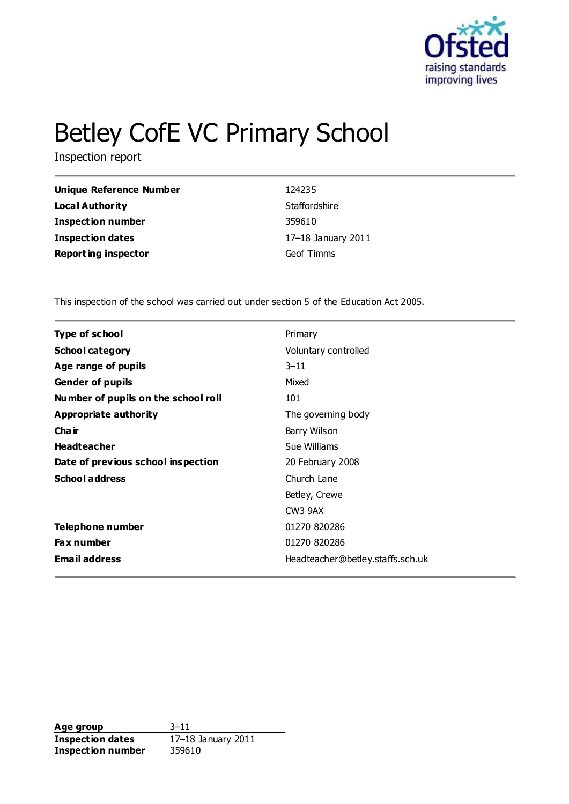

# Betley CofE VC Primary School

Inspection report

| 124235             |
|--------------------|
| Staffordshire      |
| 359610             |
| 17-18 January 2011 |
| Geof Timms         |
|                    |

This inspection of the school was carried out under section 5 of the Education Act 2005.

| <b>Type of school</b>               | Primary                          |
|-------------------------------------|----------------------------------|
| <b>School category</b>              | Voluntary controlled             |
| Age range of pupils                 | $3 - 11$                         |
| <b>Gender of pupils</b>             | Mixed                            |
| Number of pupils on the school roll | 101                              |
| Appropriate authority               | The governing body               |
| Cha ir                              | Barry Wilson                     |
| <b>Headteacher</b>                  | Sue Williams                     |
| Date of previous school inspection  | 20 February 2008                 |
| <b>School address</b>               | Church Lane                      |
|                                     | Betley, Crewe                    |
|                                     | CW <sub>3</sub> 9AX              |
| Telephone number                    | 01270 820286                     |
| Fax number                          | 01270 820286                     |
| <b>Email address</b>                | Headteacher@betley.staffs.sch.uk |

**Age group** 3–11 **Inspection dates** 17–18 January 2011 **Inspection number** 359610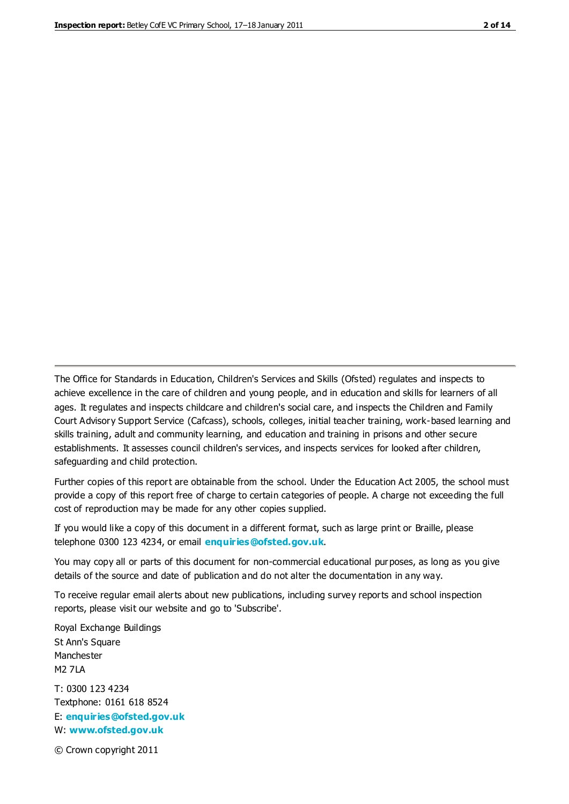The Office for Standards in Education, Children's Services and Skills (Ofsted) regulates and inspects to achieve excellence in the care of children and young people, and in education and skills for learners of all ages. It regulates and inspects childcare and children's social care, and inspects the Children and Family Court Advisory Support Service (Cafcass), schools, colleges, initial teacher training, work-based learning and skills training, adult and community learning, and education and training in prisons and other secure establishments. It assesses council children's services, and inspects services for looked after children, safeguarding and child protection.

Further copies of this report are obtainable from the school. Under the Education Act 2005, the school must provide a copy of this report free of charge to certain categories of people. A charge not exceeding the full cost of reproduction may be made for any other copies supplied.

If you would like a copy of this document in a different format, such as large print or Braille, please telephone 0300 123 4234, or email **[enquiries@ofsted.gov.uk](mailto:enquiries@ofsted.gov.uk)**.

You may copy all or parts of this document for non-commercial educational purposes, as long as you give details of the source and date of publication and do not alter the documentation in any way.

To receive regular email alerts about new publications, including survey reports and school inspection reports, please visit our website and go to 'Subscribe'.

Royal Exchange Buildings St Ann's Square Manchester M2 7LA T: 0300 123 4234 Textphone: 0161 618 8524 E: **[enquiries@ofsted.gov.uk](mailto:enquiries@ofsted.gov.uk)**

W: **[www.ofsted.gov.uk](http://www.ofsted.gov.uk/)**

© Crown copyright 2011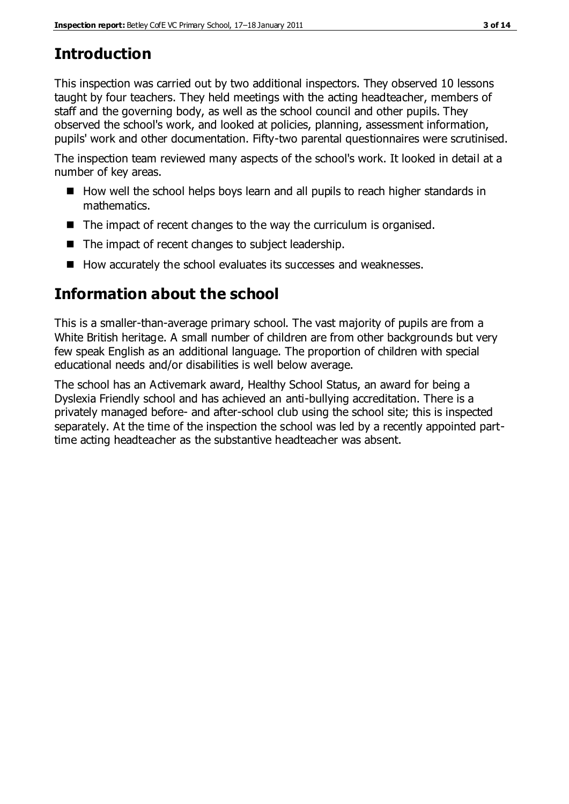# **Introduction**

This inspection was carried out by two additional inspectors. They observed 10 lessons taught by four teachers. They held meetings with the acting headteacher, members of staff and the governing body, as well as the school council and other pupils. They observed the school's work, and looked at policies, planning, assessment information, pupils' work and other documentation. Fifty-two parental questionnaires were scrutinised.

The inspection team reviewed many aspects of the school's work. It looked in detail at a number of key areas.

- How well the school helps boys learn and all pupils to reach higher standards in mathematics.
- $\blacksquare$  The impact of recent changes to the way the curriculum is organised.
- The impact of recent changes to subject leadership.
- $\blacksquare$  How accurately the school evaluates its successes and weaknesses.

# **Information about the school**

This is a smaller-than-average primary school. The vast majority of pupils are from a White British heritage. A small number of children are from other backgrounds but very few speak English as an additional language. The proportion of children with special educational needs and/or disabilities is well below average.

The school has an Activemark award, Healthy School Status, an award for being a Dyslexia Friendly school and has achieved an anti-bullying accreditation. There is a privately managed before- and after-school club using the school site; this is inspected separately. At the time of the inspection the school was led by a recently appointed parttime acting headteacher as the substantive headteacher was absent.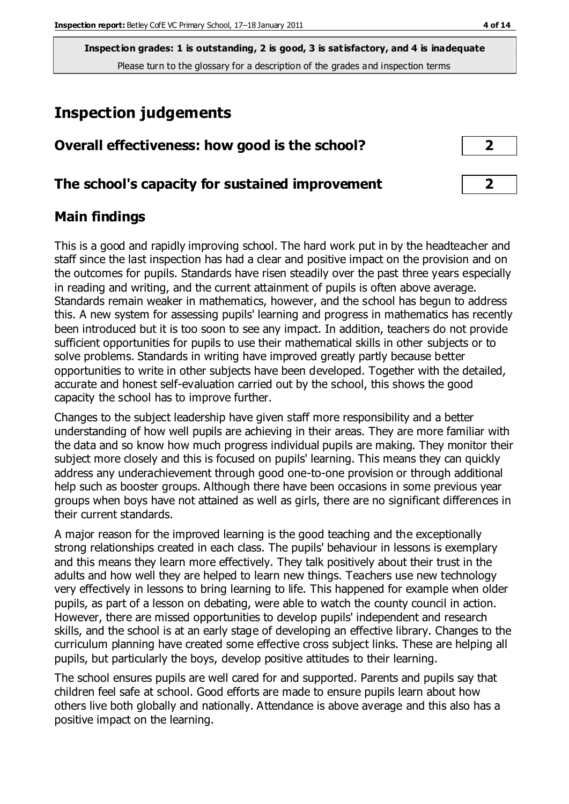**Inspection grades: 1 is outstanding, 2 is good, 3 is satisfactory, and 4 is inadequate** Please turn to the glossary for a description of the grades and inspection terms

# **Inspection judgements**

| Overall effectiveness: how good is the school? |  |
|------------------------------------------------|--|
|------------------------------------------------|--|

# **The school's capacity for sustained improvement 2**

# **Main findings**

This is a good and rapidly improving school. The hard work put in by the headteacher and staff since the last inspection has had a clear and positive impact on the provision and on the outcomes for pupils. Standards have risen steadily over the past three years especially in reading and writing, and the current attainment of pupils is often above average. Standards remain weaker in mathematics, however, and the school has begun to address this. A new system for assessing pupils' learning and progress in mathematics has recently been introduced but it is too soon to see any impact. In addition, teachers do not provide sufficient opportunities for pupils to use their mathematical skills in other subjects or to solve problems. Standards in writing have improved greatly partly because better opportunities to write in other subjects have been developed. Together with the detailed, accurate and honest self-evaluation carried out by the school, this shows the good capacity the school has to improve further.

Changes to the subject leadership have given staff more responsibility and a better understanding of how well pupils are achieving in their areas. They are more familiar with the data and so know how much progress individual pupils are making. They monitor their subject more closely and this is focused on pupils' learning. This means they can quickly address any underachievement through good one-to-one provision or through additional help such as booster groups. Although there have been occasions in some previous year groups when boys have not attained as well as girls, there are no significant differences in their current standards.

A major reason for the improved learning is the good teaching and the exceptionally strong relationships created in each class. The pupils' behaviour in lessons is exemplary and this means they learn more effectively. They talk positively about their trust in the adults and how well they are helped to learn new things. Teachers use new technology very effectively in lessons to bring learning to life. This happened for example when older pupils, as part of a lesson on debating, were able to watch the county council in action. However, there are missed opportunities to develop pupils' independent and research skills, and the school is at an early stage of developing an effective library. Changes to the curriculum planning have created some effective cross subject links. These are helping all pupils, but particularly the boys, develop positive attitudes to their learning.

The school ensures pupils are well cared for and supported. Parents and pupils say that children feel safe at school. Good efforts are made to ensure pupils learn about how others live both globally and nationally. Attendance is above average and this also has a positive impact on the learning.

| 2 |  |
|---|--|
|   |  |
|   |  |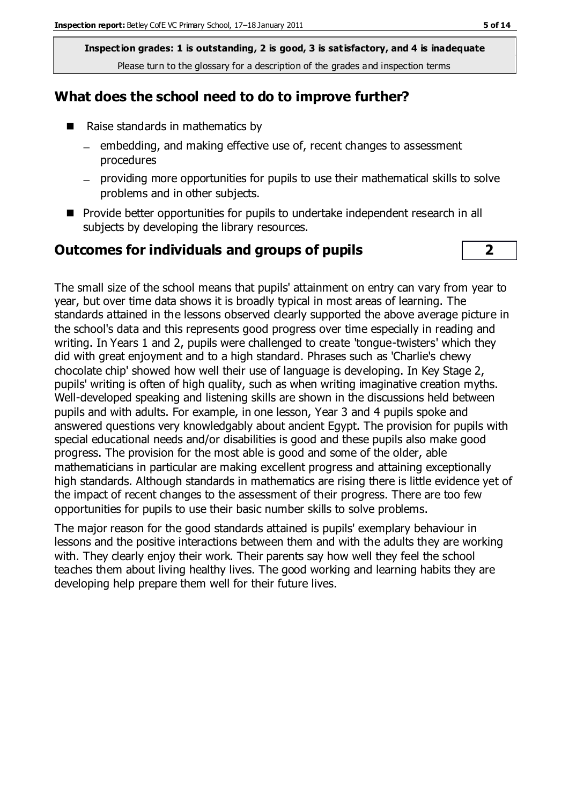**Inspection grades: 1 is outstanding, 2 is good, 3 is satisfactory, and 4 is inadequate** Please turn to the glossary for a description of the grades and inspection terms

# **What does the school need to do to improve further?**

- Raise standards in mathematics by
	- $=$  embedding, and making effective use of, recent changes to assessment procedures
	- providing more opportunities for pupils to use their mathematical skills to solve problems and in other subjects.
- **Provide better opportunities for pupils to undertake independent research in all** subjects by developing the library resources.

#### **Outcomes for individuals and groups of pupils 2**

The small size of the school means that pupils' attainment on entry can vary from year to year, but over time data shows it is broadly typical in most areas of learning. The standards attained in the lessons observed clearly supported the above average picture in the school's data and this represents good progress over time especially in reading and writing. In Years 1 and 2, pupils were challenged to create 'tongue-twisters' which they did with great enjoyment and to a high standard. Phrases such as 'Charlie's chewy chocolate chip' showed how well their use of language is developing. In Key Stage 2, pupils' writing is often of high quality, such as when writing imaginative creation myths. Well-developed speaking and listening skills are shown in the discussions held between pupils and with adults. For example, in one lesson, Year 3 and 4 pupils spoke and answered questions very knowledgably about ancient Egypt. The provision for pupils with special educational needs and/or disabilities is good and these pupils also make good progress. The provision for the most able is good and some of the older, able mathematicians in particular are making excellent progress and attaining exceptionally high standards. Although standards in mathematics are rising there is little evidence yet of the impact of recent changes to the assessment of their progress. There are too few opportunities for pupils to use their basic number skills to solve problems.

The major reason for the good standards attained is pupils' exemplary behaviour in lessons and the positive interactions between them and with the adults they are working with. They clearly enjoy their work. Their parents say how well they feel the school teaches them about living healthy lives. The good working and learning habits they are developing help prepare them well for their future lives.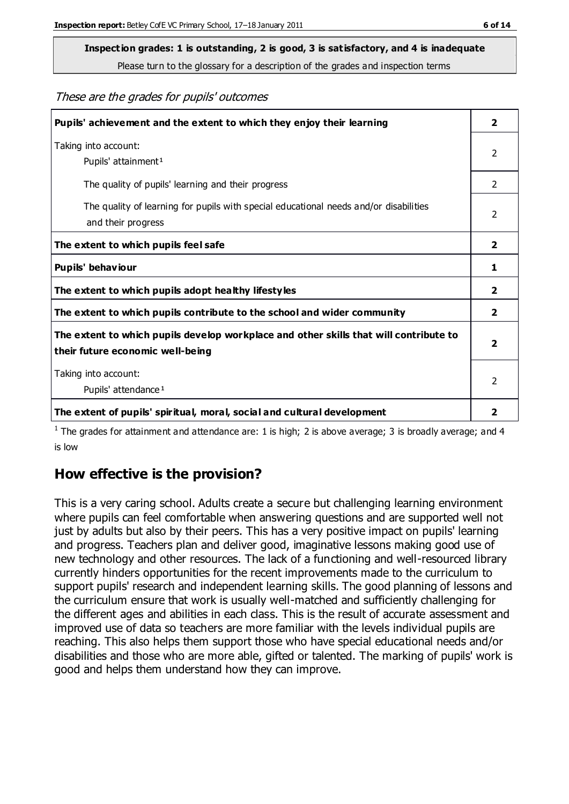Please turn to the glossary for a description of the grades and inspection terms

These are the grades for pupils' outcomes

| Pupils' achievement and the extent to which they enjoy their learning                                                     | $\overline{\mathbf{2}}$ |
|---------------------------------------------------------------------------------------------------------------------------|-------------------------|
| Taking into account:<br>Pupils' attainment <sup>1</sup>                                                                   | 2                       |
| The quality of pupils' learning and their progress                                                                        | $\mathcal{P}$           |
| The quality of learning for pupils with special educational needs and/or disabilities<br>and their progress               | 2                       |
| The extent to which pupils feel safe                                                                                      | $\overline{\mathbf{2}}$ |
| Pupils' behaviour                                                                                                         | 1                       |
| The extent to which pupils adopt healthy lifestyles                                                                       | $\mathbf{2}$            |
| The extent to which pupils contribute to the school and wider community                                                   | 2                       |
| The extent to which pupils develop workplace and other skills that will contribute to<br>their future economic well-being | $\overline{2}$          |
| Taking into account:<br>Pupils' attendance <sup>1</sup>                                                                   | $\mathcal{P}$           |
| The extent of pupils' spiritual, moral, social and cultural development                                                   | 2                       |

<sup>1</sup> The grades for attainment and attendance are: 1 is high; 2 is above average; 3 is broadly average; and 4 is low

# **How effective is the provision?**

This is a very caring school. Adults create a secure but challenging learning environment where pupils can feel comfortable when answering questions and are supported well not just by adults but also by their peers. This has a very positive impact on pupils' learning and progress. Teachers plan and deliver good, imaginative lessons making good use of new technology and other resources. The lack of a functioning and well-resourced library currently hinders opportunities for the recent improvements made to the curriculum to support pupils' research and independent learning skills. The good planning of lessons and the curriculum ensure that work is usually well-matched and sufficiently challenging for the different ages and abilities in each class. This is the result of accurate assessment and improved use of data so teachers are more familiar with the levels individual pupils are reaching. This also helps them support those who have special educational needs and/or disabilities and those who are more able, gifted or talented. The marking of pupils' work is good and helps them understand how they can improve.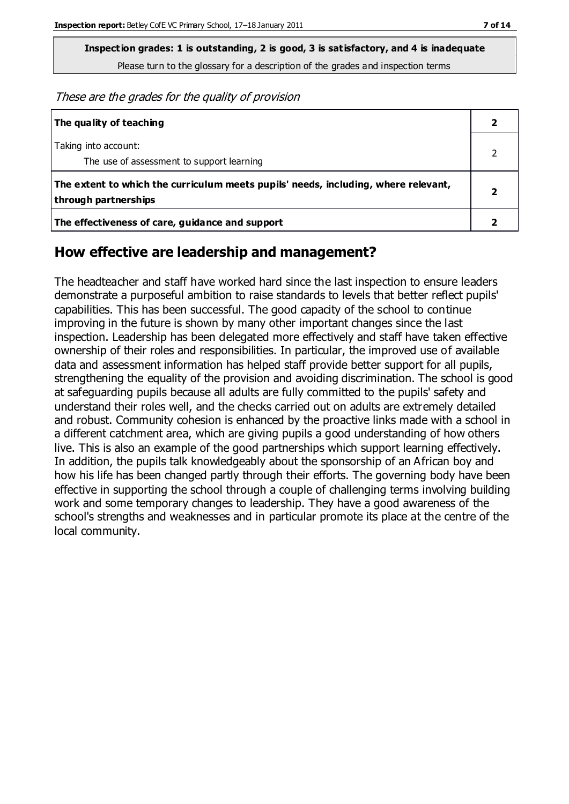Please turn to the glossary for a description of the grades and inspection terms

These are the grades for the quality of provision

| The quality of teaching                                                                                    |  |
|------------------------------------------------------------------------------------------------------------|--|
| Taking into account:<br>The use of assessment to support learning                                          |  |
| The extent to which the curriculum meets pupils' needs, including, where relevant,<br>through partnerships |  |
| The effectiveness of care, guidance and support                                                            |  |

# **How effective are leadership and management?**

The headteacher and staff have worked hard since the last inspection to ensure leaders demonstrate a purposeful ambition to raise standards to levels that better reflect pupils' capabilities. This has been successful. The good capacity of the school to continue improving in the future is shown by many other important changes since the last inspection. Leadership has been delegated more effectively and staff have taken effective ownership of their roles and responsibilities. In particular, the improved use of available data and assessment information has helped staff provide better support for all pupils, strengthening the equality of the provision and avoiding discrimination. The school is good at safeguarding pupils because all adults are fully committed to the pupils' safety and understand their roles well, and the checks carried out on adults are extremely detailed and robust. Community cohesion is enhanced by the proactive links made with a school in a different catchment area, which are giving pupils a good understanding of how others live. This is also an example of the good partnerships which support learning effectively. In addition, the pupils talk knowledgeably about the sponsorship of an African boy and how his life has been changed partly through their efforts. The governing body have been effective in supporting the school through a couple of challenging terms involving building work and some temporary changes to leadership. They have a good awareness of the school's strengths and weaknesses and in particular promote its place at the centre of the local community.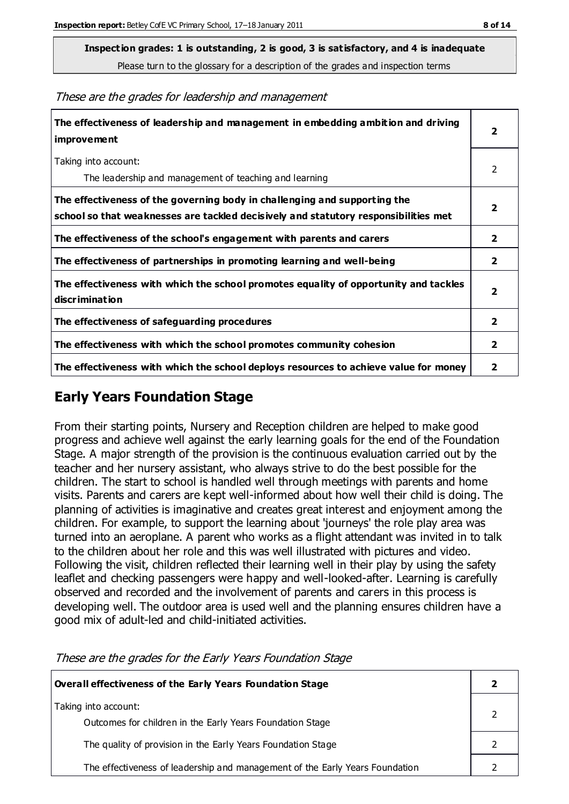Please turn to the glossary for a description of the grades and inspection terms

These are the grades for leadership and management

| The effectiveness of leadership and management in embedding ambition and driving<br><b>improvement</b>                                                           | $\overline{2}$          |
|------------------------------------------------------------------------------------------------------------------------------------------------------------------|-------------------------|
| Taking into account:<br>The leadership and management of teaching and learning                                                                                   | 2                       |
| The effectiveness of the governing body in challenging and supporting the<br>school so that weaknesses are tackled decisively and statutory responsibilities met | $\overline{\mathbf{2}}$ |
| The effectiveness of the school's engagement with parents and carers                                                                                             | $\mathbf{2}$            |
| The effectiveness of partnerships in promoting learning and well-being                                                                                           | $\overline{2}$          |
| The effectiveness with which the school promotes equality of opportunity and tackles<br><b>discrimination</b>                                                    | $\overline{\mathbf{2}}$ |
| The effectiveness of safeguarding procedures                                                                                                                     | $\overline{\mathbf{2}}$ |
| The effectiveness with which the school promotes community cohesion                                                                                              | $\overline{2}$          |
| The effectiveness with which the school deploys resources to achieve value for money                                                                             | 2                       |

# **Early Years Foundation Stage**

From their starting points, Nursery and Reception children are helped to make good progress and achieve well against the early learning goals for the end of the Foundation Stage. A major strength of the provision is the continuous evaluation carried out by the teacher and her nursery assistant, who always strive to do the best possible for the children. The start to school is handled well through meetings with parents and home visits. Parents and carers are kept well-informed about how well their child is doing. The planning of activities is imaginative and creates great interest and enjoyment among the children. For example, to support the learning about 'journeys' the role play area was turned into an aeroplane. A parent who works as a flight attendant was invited in to talk to the children about her role and this was well illustrated with pictures and video. Following the visit, children reflected their learning well in their play by using the safety leaflet and checking passengers were happy and well-looked-after. Learning is carefully observed and recorded and the involvement of parents and carers in this process is developing well. The outdoor area is used well and the planning ensures children have a good mix of adult-led and child-initiated activities.

| Overall effectiveness of the Early Years Foundation Stage                         |  |
|-----------------------------------------------------------------------------------|--|
| Taking into account:<br>Outcomes for children in the Early Years Foundation Stage |  |
| The quality of provision in the Early Years Foundation Stage                      |  |
| The effectiveness of leadership and management of the Early Years Foundation      |  |

These are the grades for the Early Years Foundation Stage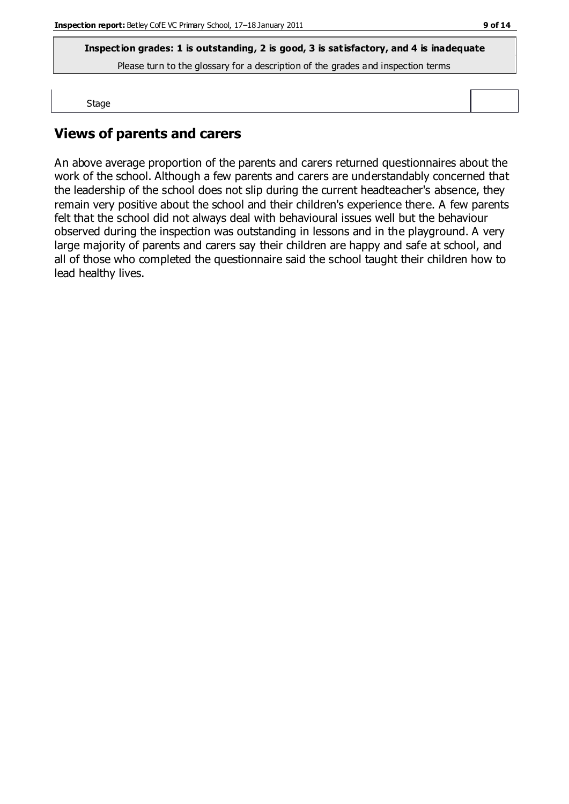Please turn to the glossary for a description of the grades and inspection terms

Stage

# **Views of parents and carers**

An above average proportion of the parents and carers returned questionnaires about the work of the school. Although a few parents and carers are understandably concerned that the leadership of the school does not slip during the current headteacher's absence, they remain very positive about the school and their children's experience there. A few parents felt that the school did not always deal with behavioural issues well but the behaviour observed during the inspection was outstanding in lessons and in the playground. A very large majority of parents and carers say their children are happy and safe at school, and all of those who completed the questionnaire said the school taught their children how to lead healthy lives.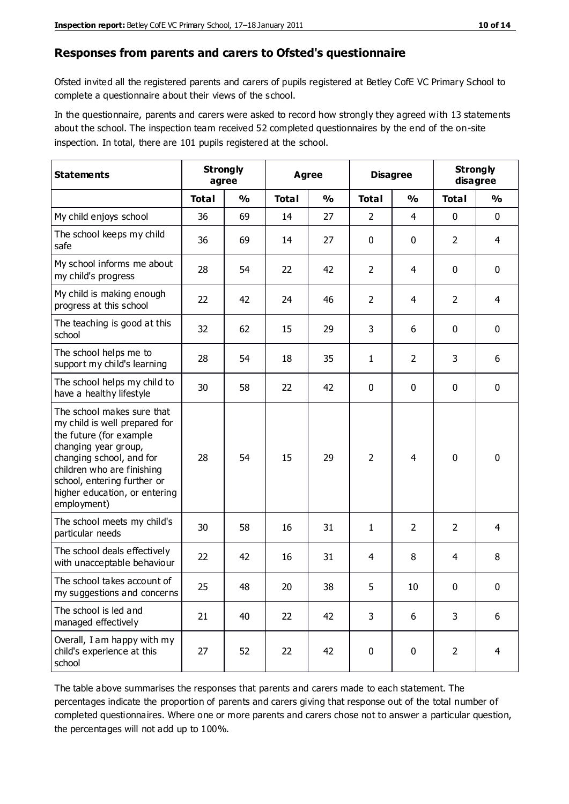#### **Responses from parents and carers to Ofsted's questionnaire**

Ofsted invited all the registered parents and carers of pupils registered at Betley CofE VC Primary School to complete a questionnaire about their views of the school.

In the questionnaire, parents and carers were asked to record how strongly they agreed with 13 statements about the school. The inspection team received 52 completed questionnaires by the end of the on-site inspection. In total, there are 101 pupils registered at the school.

| <b>Statements</b>                                                                                                                                                                                                                                       | <b>Strongly</b><br>agree |               |              | Agree         |                | <b>Disagree</b> |                | <b>Strongly</b><br>disagree |
|---------------------------------------------------------------------------------------------------------------------------------------------------------------------------------------------------------------------------------------------------------|--------------------------|---------------|--------------|---------------|----------------|-----------------|----------------|-----------------------------|
|                                                                                                                                                                                                                                                         | <b>Total</b>             | $\frac{0}{0}$ | <b>Total</b> | $\frac{0}{0}$ | <b>Total</b>   | $\frac{0}{0}$   | <b>Total</b>   | $\frac{0}{0}$               |
| My child enjoys school                                                                                                                                                                                                                                  | 36                       | 69            | 14           | 27            | 2              | $\overline{4}$  | $\mathbf 0$    | $\mathbf 0$                 |
| The school keeps my child<br>safe                                                                                                                                                                                                                       | 36                       | 69            | 14           | 27            | 0              | 0               | $\overline{2}$ | $\overline{4}$              |
| My school informs me about<br>my child's progress                                                                                                                                                                                                       | 28                       | 54            | 22           | 42            | $\overline{2}$ | 4               | $\mathbf 0$    | $\mathbf 0$                 |
| My child is making enough<br>progress at this school                                                                                                                                                                                                    | 22                       | 42            | 24           | 46            | $\overline{2}$ | 4               | 2              | $\overline{4}$              |
| The teaching is good at this<br>school                                                                                                                                                                                                                  | 32                       | 62            | 15           | 29            | 3              | 6               | 0              | $\mathbf 0$                 |
| The school helps me to<br>support my child's learning                                                                                                                                                                                                   | 28                       | 54            | 18           | 35            | 1              | $\overline{2}$  | 3              | 6                           |
| The school helps my child to<br>have a healthy lifestyle                                                                                                                                                                                                | 30                       | 58            | 22           | 42            | 0              | $\mathbf 0$     | $\mathbf 0$    | $\mathbf 0$                 |
| The school makes sure that<br>my child is well prepared for<br>the future (for example<br>changing year group,<br>changing school, and for<br>children who are finishing<br>school, entering further or<br>higher education, or entering<br>employment) | 28                       | 54            | 15           | 29            | $\overline{2}$ | 4               | $\mathbf 0$    | $\mathbf 0$                 |
| The school meets my child's<br>particular needs                                                                                                                                                                                                         | 30                       | 58            | 16           | 31            | 1              | $\overline{2}$  | 2              | 4                           |
| The school deals effectively<br>with unacceptable behaviour                                                                                                                                                                                             | 22                       | 42            | 16           | 31            | 4              | 8               | 4              | 8                           |
| The school takes account of<br>my suggestions and concerns                                                                                                                                                                                              | 25                       | 48            | 20           | 38            | 5              | 10              | 0              | 0                           |
| The school is led and<br>managed effectively                                                                                                                                                                                                            | 21                       | 40            | 22           | 42            | 3              | 6               | 3              | 6                           |
| Overall, I am happy with my<br>child's experience at this<br>school                                                                                                                                                                                     | 27                       | 52            | 22           | 42            | $\pmb{0}$      | $\pmb{0}$       | $\overline{2}$ | $\overline{4}$              |

The table above summarises the responses that parents and carers made to each statement. The percentages indicate the proportion of parents and carers giving that response out of the total number of completed questionnaires. Where one or more parents and carers chose not to answer a particular question, the percentages will not add up to 100%.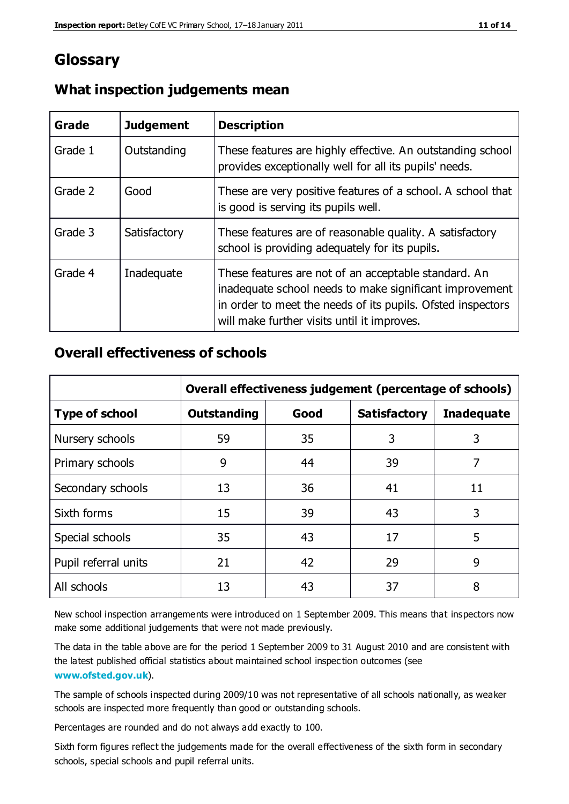# **Glossary**

| Grade   | <b>Judgement</b> | <b>Description</b>                                                                                                                                                                                                            |
|---------|------------------|-------------------------------------------------------------------------------------------------------------------------------------------------------------------------------------------------------------------------------|
| Grade 1 | Outstanding      | These features are highly effective. An outstanding school<br>provides exceptionally well for all its pupils' needs.                                                                                                          |
| Grade 2 | Good             | These are very positive features of a school. A school that<br>is good is serving its pupils well.                                                                                                                            |
| Grade 3 | Satisfactory     | These features are of reasonable quality. A satisfactory<br>school is providing adequately for its pupils.                                                                                                                    |
| Grade 4 | Inadequate       | These features are not of an acceptable standard. An<br>inadequate school needs to make significant improvement<br>in order to meet the needs of its pupils. Ofsted inspectors<br>will make further visits until it improves. |

#### **What inspection judgements mean**

# **Overall effectiveness of schools**

|                       | Overall effectiveness judgement (percentage of schools) |      |                     |                   |
|-----------------------|---------------------------------------------------------|------|---------------------|-------------------|
| <b>Type of school</b> | <b>Outstanding</b>                                      | Good | <b>Satisfactory</b> | <b>Inadequate</b> |
| Nursery schools       | 59                                                      | 35   | 3                   | 3                 |
| Primary schools       | 9                                                       | 44   | 39                  | 7                 |
| Secondary schools     | 13                                                      | 36   | 41                  | 11                |
| Sixth forms           | 15                                                      | 39   | 43                  | 3                 |
| Special schools       | 35                                                      | 43   | 17                  | 5                 |
| Pupil referral units  | 21                                                      | 42   | 29                  | 9                 |
| All schools           | 13                                                      | 43   | 37                  | 8                 |

New school inspection arrangements were introduced on 1 September 2009. This means that inspectors now make some additional judgements that were not made previously.

The data in the table above are for the period 1 September 2009 to 31 August 2010 and are consistent with the latest published official statistics about maintained school inspec tion outcomes (see **[www.ofsted.gov.uk](http://www.ofsted.gov.uk/)**).

The sample of schools inspected during 2009/10 was not representative of all schools nationally, as weaker schools are inspected more frequently than good or outstanding schools.

Percentages are rounded and do not always add exactly to 100.

Sixth form figures reflect the judgements made for the overall effectiveness of the sixth form in secondary schools, special schools and pupil referral units.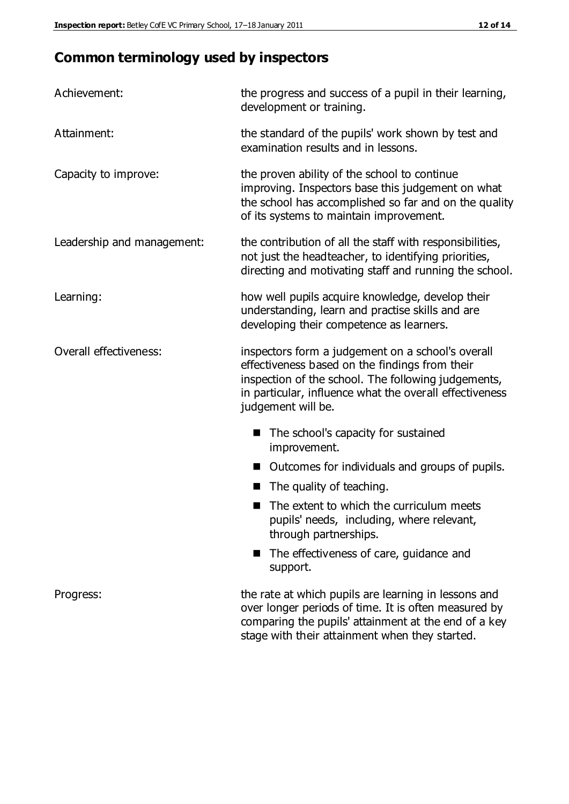# **Common terminology used by inspectors**

| Achievement:                  | the progress and success of a pupil in their learning,<br>development or training.                                                                                                                                                          |  |  |
|-------------------------------|---------------------------------------------------------------------------------------------------------------------------------------------------------------------------------------------------------------------------------------------|--|--|
| Attainment:                   | the standard of the pupils' work shown by test and<br>examination results and in lessons.                                                                                                                                                   |  |  |
| Capacity to improve:          | the proven ability of the school to continue<br>improving. Inspectors base this judgement on what<br>the school has accomplished so far and on the quality<br>of its systems to maintain improvement.                                       |  |  |
| Leadership and management:    | the contribution of all the staff with responsibilities,<br>not just the headteacher, to identifying priorities,<br>directing and motivating staff and running the school.                                                                  |  |  |
| Learning:                     | how well pupils acquire knowledge, develop their<br>understanding, learn and practise skills and are<br>developing their competence as learners.                                                                                            |  |  |
| <b>Overall effectiveness:</b> | inspectors form a judgement on a school's overall<br>effectiveness based on the findings from their<br>inspection of the school. The following judgements,<br>in particular, influence what the overall effectiveness<br>judgement will be. |  |  |
|                               | The school's capacity for sustained<br>improvement.                                                                                                                                                                                         |  |  |
|                               | Outcomes for individuals and groups of pupils.                                                                                                                                                                                              |  |  |
|                               | The quality of teaching.                                                                                                                                                                                                                    |  |  |
|                               | The extent to which the curriculum meets<br>pupils' needs, including, where relevant,<br>through partnerships.                                                                                                                              |  |  |
|                               | The effectiveness of care, guidance and<br>support.                                                                                                                                                                                         |  |  |
| Progress:                     | the rate at which pupils are learning in lessons and<br>over longer periods of time. It is often measured by<br>comparing the pupils' attainment at the end of a key                                                                        |  |  |

stage with their attainment when they started.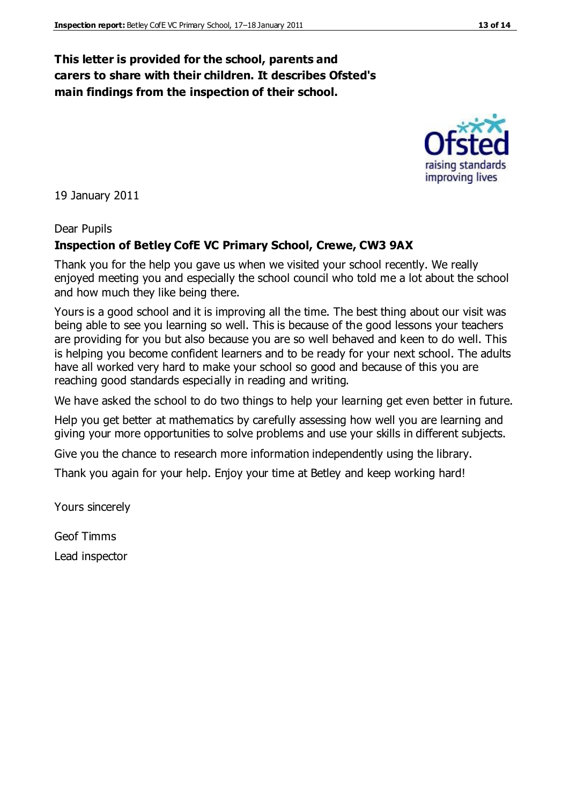#### **This letter is provided for the school, parents and carers to share with their children. It describes Ofsted's main findings from the inspection of their school.**

19 January 2011

#### Dear Pupils

#### **Inspection of Betley CofE VC Primary School, Crewe, CW3 9AX**

Thank you for the help you gave us when we visited your school recently. We really enjoyed meeting you and especially the school council who told me a lot about the school and how much they like being there.

Yours is a good school and it is improving all the time. The best thing about our visit was being able to see you learning so well. This is because of the good lessons your teachers are providing for you but also because you are so well behaved and keen to do well. This is helping you become confident learners and to be ready for your next school. The adults have all worked very hard to make your school so good and because of this you are reaching good standards especially in reading and writing.

We have asked the school to do two things to help your learning get even better in future.

Help you get better at mathematics by carefully assessing how well you are learning and giving your more opportunities to solve problems and use your skills in different subjects.

Give you the chance to research more information independently using the library.

Thank you again for your help. Enjoy your time at Betley and keep working hard!

Yours sincerely

Geof Timms Lead inspector raising standards

improving lives